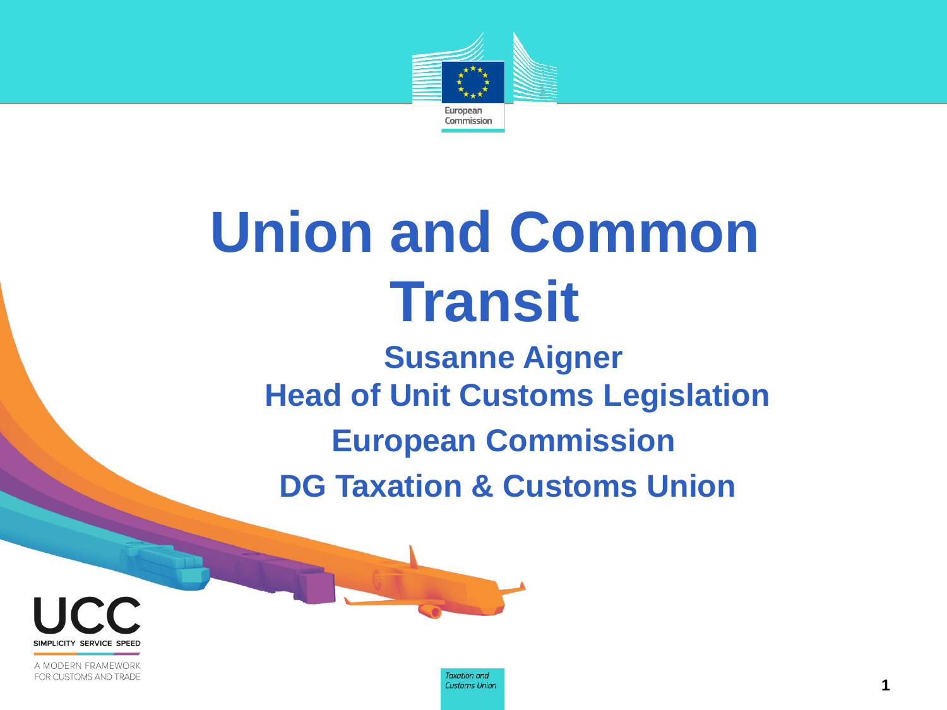

# **Union and Common Transit**

**Susanne Aigner Head of Unit Customs Legislation European Commission DG Taxation & Customs Union**



A MODERN FRAMEWORK FOR CUSTOMS AND TRADE

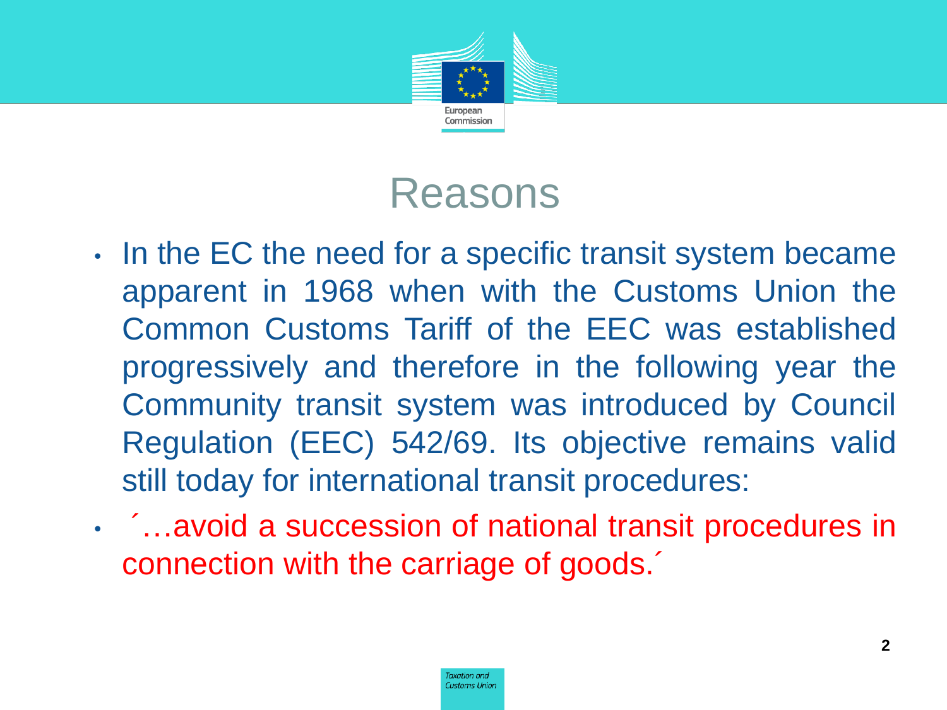

#### Reasons

- In the EC the need for a specific transit system became apparent in 1968 when with the Customs Union the Common Customs Tariff of the EEC was established progressively and therefore in the following year the Community transit system was introduced by Council Regulation (EEC) 542/69. Its objective remains valid still today for international transit procedures:
- ´…avoid a succession of national transit procedures in connection with the carriage of goods.´

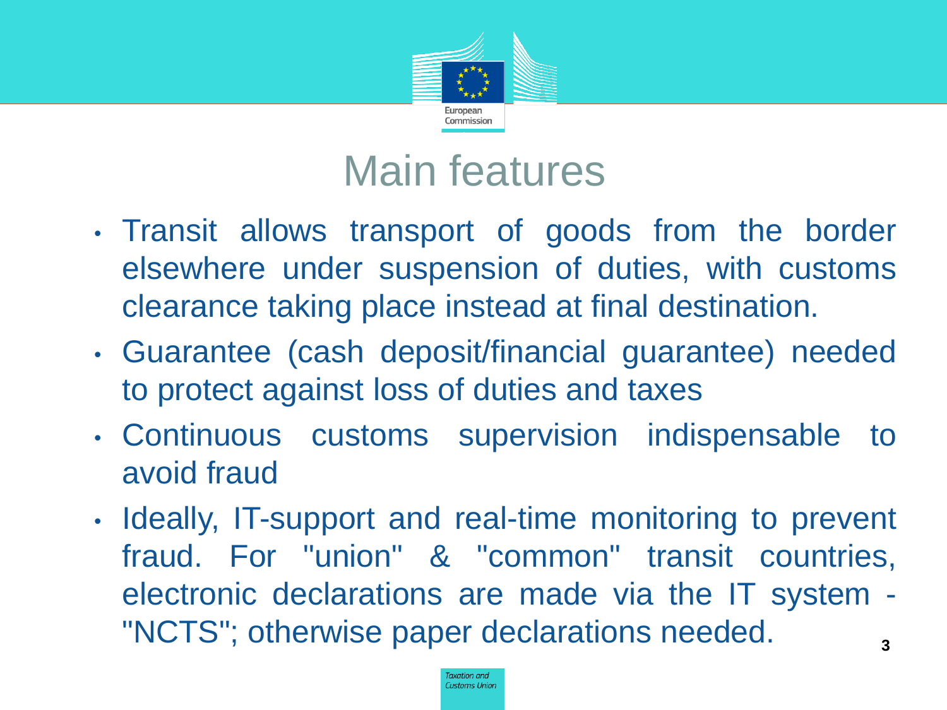

#### Main features

- Transit allows transport of goods from the border elsewhere under suspension of duties, with customs clearance taking place instead at final destination.
- Guarantee (cash deposit/financial guarantee) needed to protect against loss of duties and taxes
- Continuous customs supervision indispensable to avoid fraud
- Ideally, IT-support and real-time monitoring to prevent fraud. For "union" & "common" transit countries, electronic declarations are made via the IT system - "NCTS"; otherwise paper declarations needed. **3**

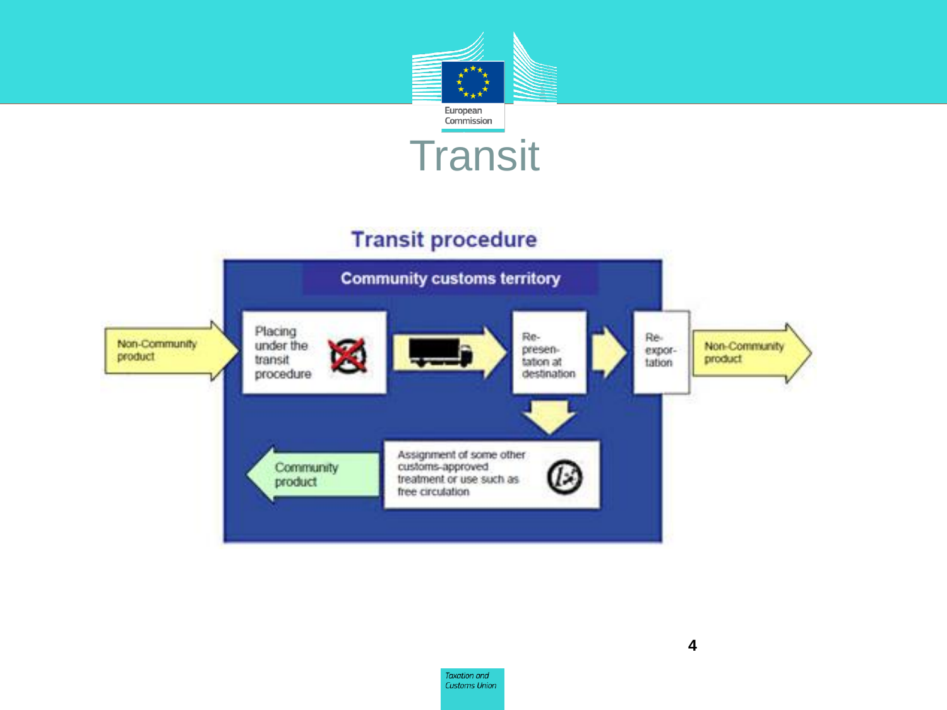

#### **Transit procedure**



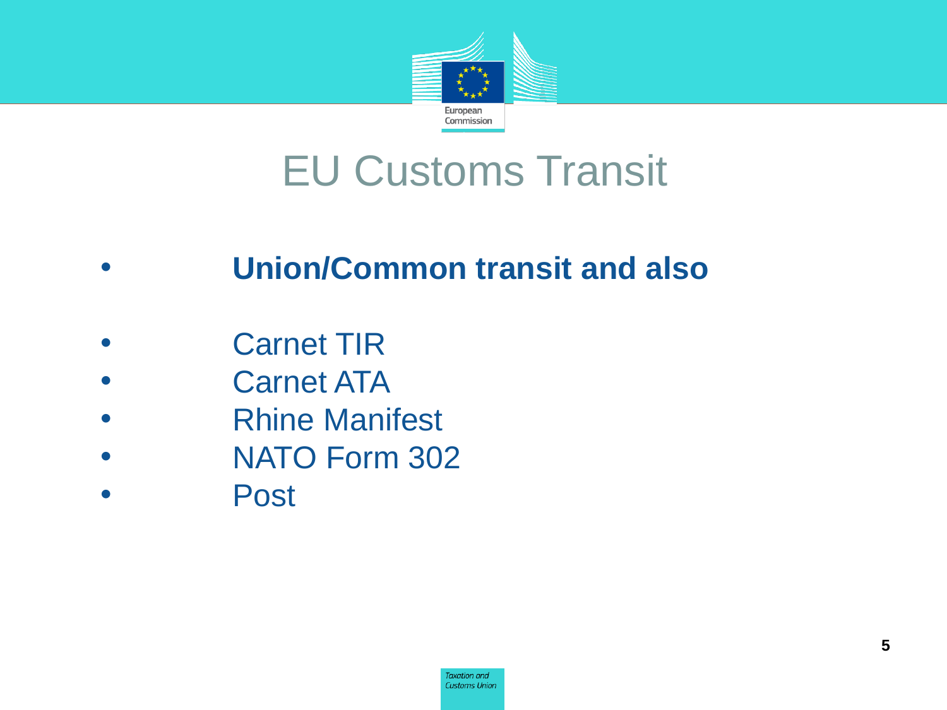

#### EU Customs Transit

#### • **Union/Common transit and also**

- **Carnet TIR**
- **Carnet ATA**
- Rhine Manifest
- NATO Form 302
- Post

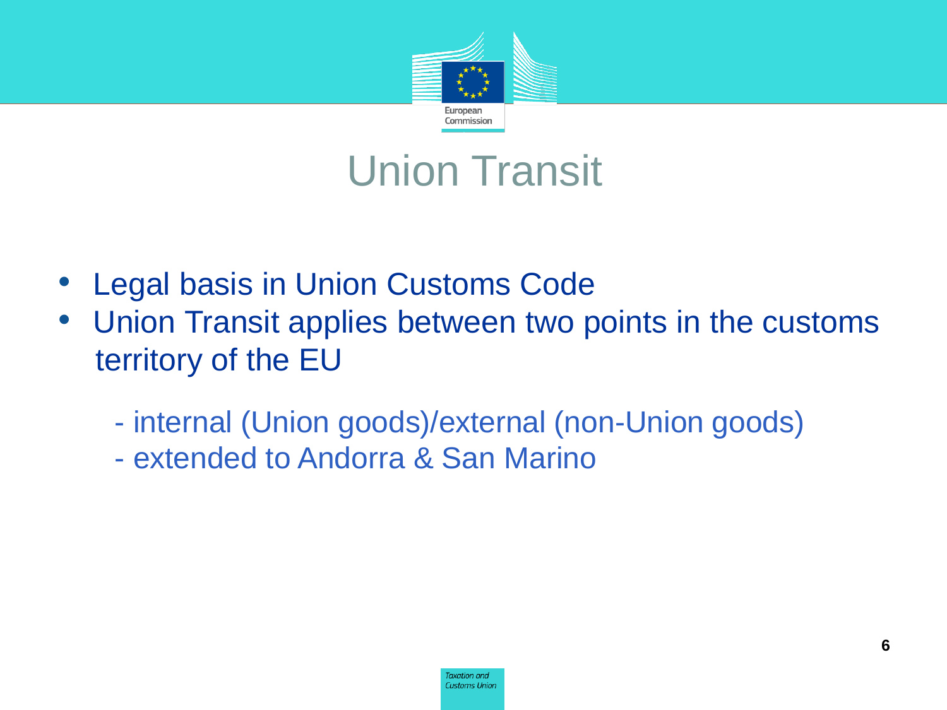

#### Union Transit

- Legal basis in Union Customs Code
- Union Transit applies between two points in the customs territory of the EU
	- internal (Union goods)/external (non-Union goods)
	- extended to Andorra & San Marino

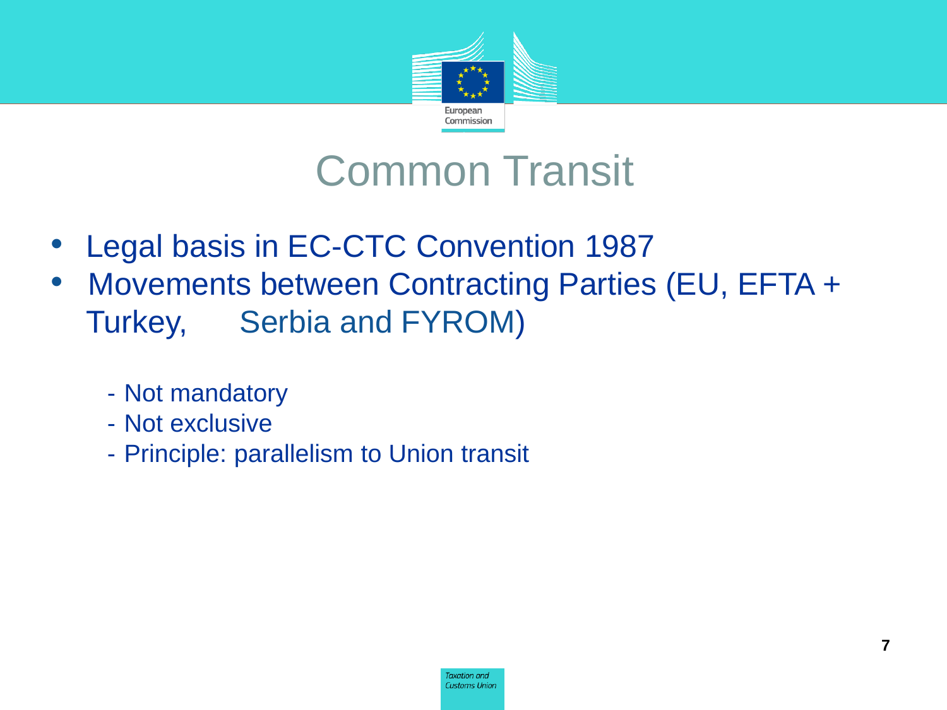

#### Common Transit

- Legal basis in EC-CTC Convention 1987
- Movements between Contracting Parties (EU, EFTA + Turkey, Serbia and FYROM)
	- Not mandatory
	- Not exclusive
	- Principle: parallelism to Union transit

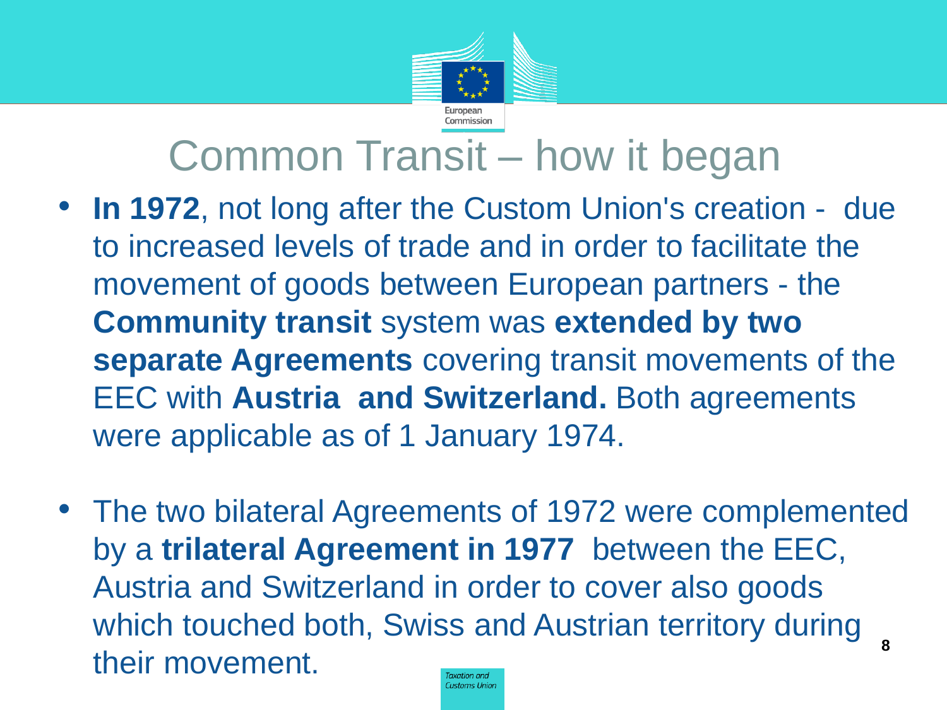

#### Common Transit – how it began

- **In 1972**, not long after the Custom Union's creation due to increased levels of trade and in order to facilitate the movement of goods between European partners - the **Community transit** system was **extended by two separate Agreements** covering transit movements of the EEC with **Austria and Switzerland.** Both agreements were applicable as of 1 January 1974.
- The two bilateral Agreements of 1972 were complemented by a **trilateral Agreement in 1977** between the EEC, Austria and Switzerland in order to cover also goods which touched both, Swiss and Austrian territory during their movement. **<sup>8</sup>Customs Union**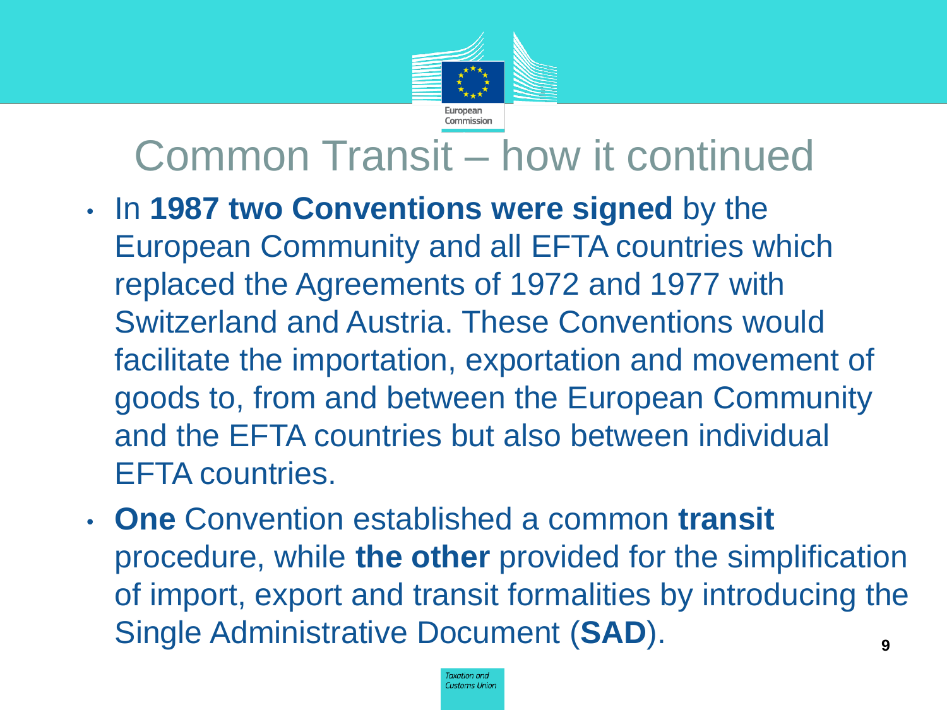

### Common Transit – how it continued

- In **1987 two Conventions were signed** by the European Community and all EFTA countries which replaced the Agreements of 1972 and 1977 with Switzerland and Austria. These Conventions would facilitate the importation, exportation and movement of goods to, from and between the European Community and the EFTA countries but also between individual EFTA countries.
- **One** Convention established a common **transit** procedure, while **the other** provided for the simplification of import, export and transit formalities by introducing the Single Administrative Document (SAD).

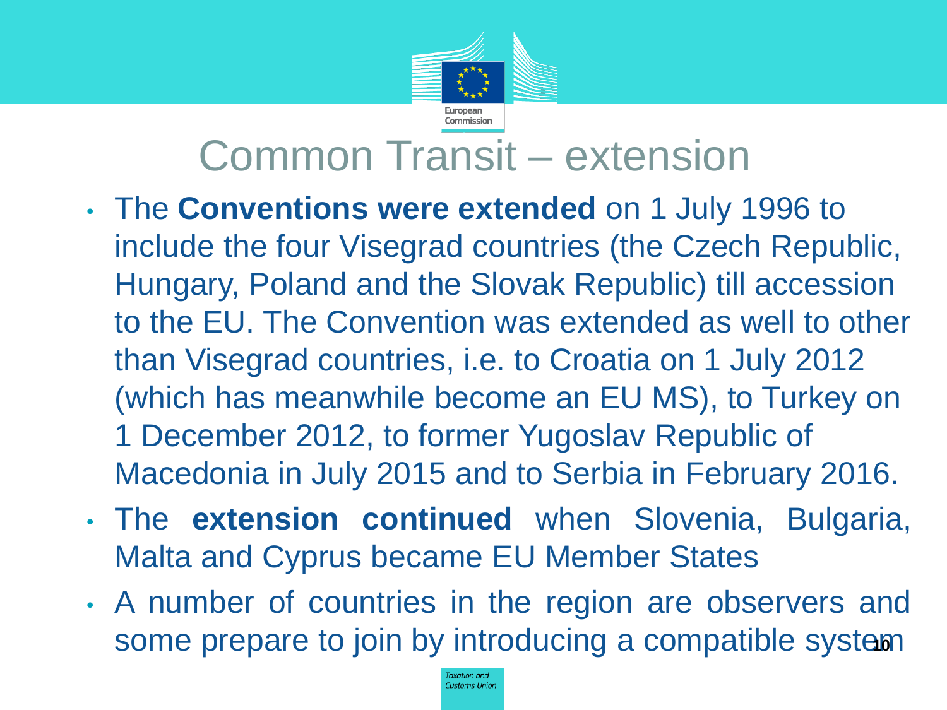

### Common Transit – extension

- The **Conventions were extended** on 1 July 1996 to include the four Visegrad countries (the Czech Republic, Hungary, Poland and the Slovak Republic) till accession to the EU. The Convention was extended as well to other than Visegrad countries, i.e. to Croatia on 1 July 2012 (which has meanwhile become an EU MS), to Turkey on 1 December 2012, to former Yugoslav Republic of Macedonia in July 2015 and to Serbia in February 2016.
- The **extension continued** when Slovenia, Bulgaria, Malta and Cyprus became EU Member States
- A number of countries in the region are observers and some prepare to join by introducing a compatible system

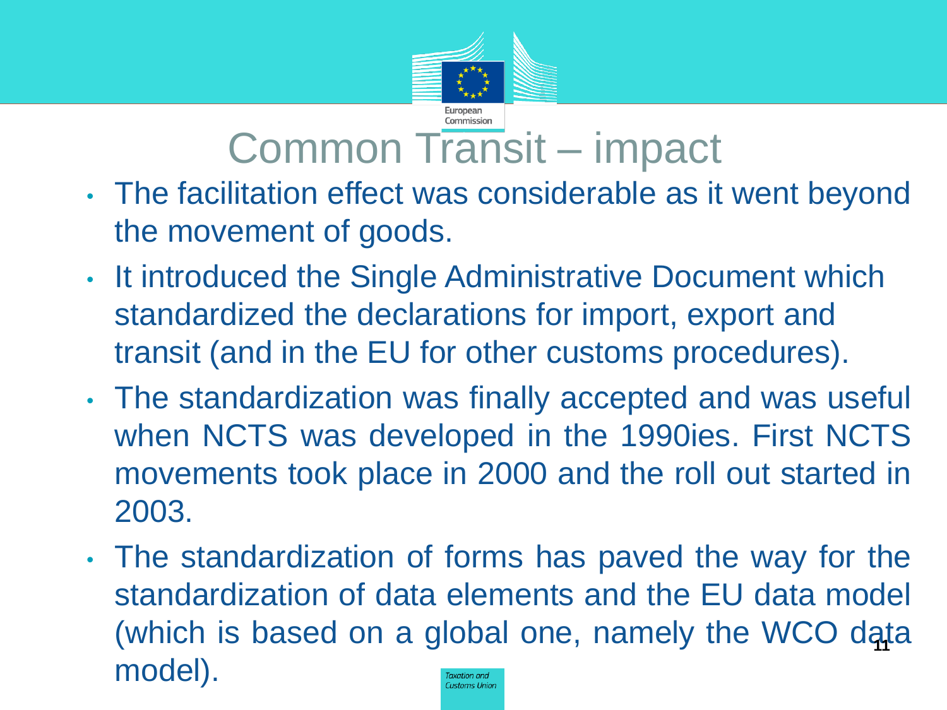

#### Common Transit – impact

- The facilitation effect was considerable as it went beyond the movement of goods.
- It introduced the Single Administrative Document which standardized the declarations for import, export and transit (and in the EU for other customs procedures).
- The standardization was finally accepted and was useful when NCTS was developed in the 1990ies. First NCTS movements took place in 2000 and the roll out started in 2003.
- The standardization of forms has paved the way for the standardization of data elements and the EU data model (which is based on a global one, namely the WCO data model). Taxation and **Customs Union**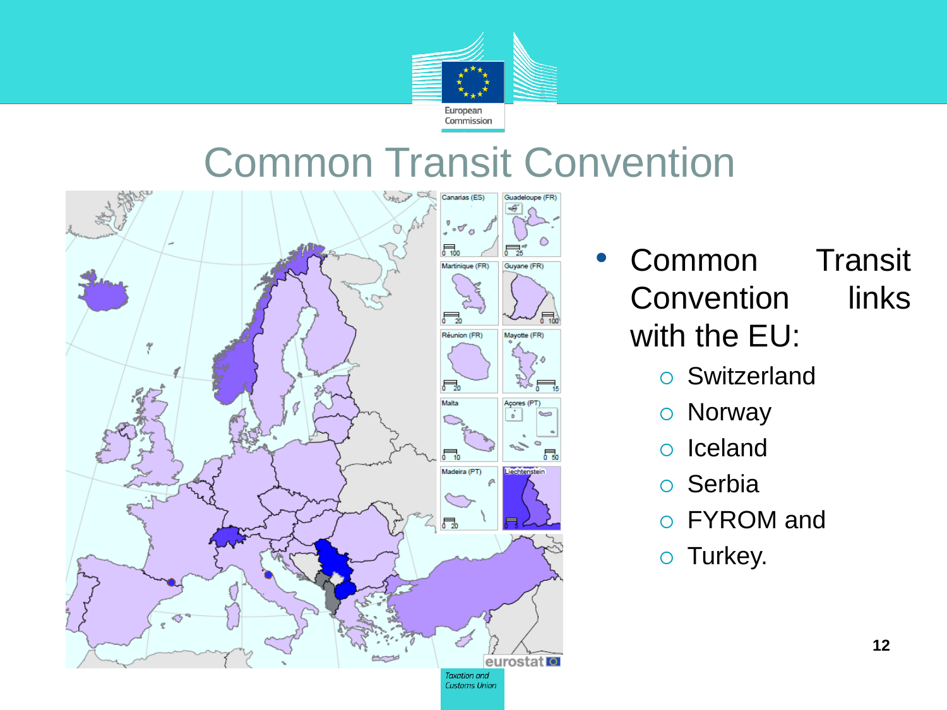

#### Common Transit Convention



- Common Transit Convention links with the EU:
	- Switzerland
	- Norway
	- o Iceland
	- Serbia
	- FYROM and
	- o Turkey.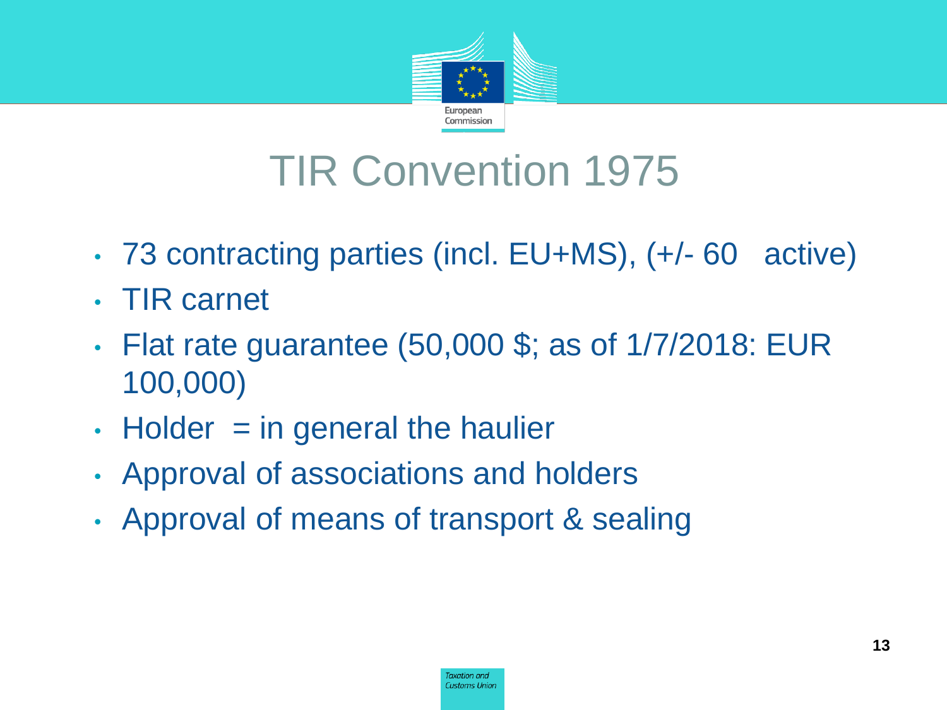

## TIR Convention 1975

- 73 contracting parties (incl. EU+MS), (+/- 60 active)
- TIR carnet
- Flat rate guarantee (50,000 \$; as of 1/7/2018: EUR 100,000)
- $\cdot$  Holder  $=$  in general the haulier
- Approval of associations and holders
- Approval of means of transport & sealing

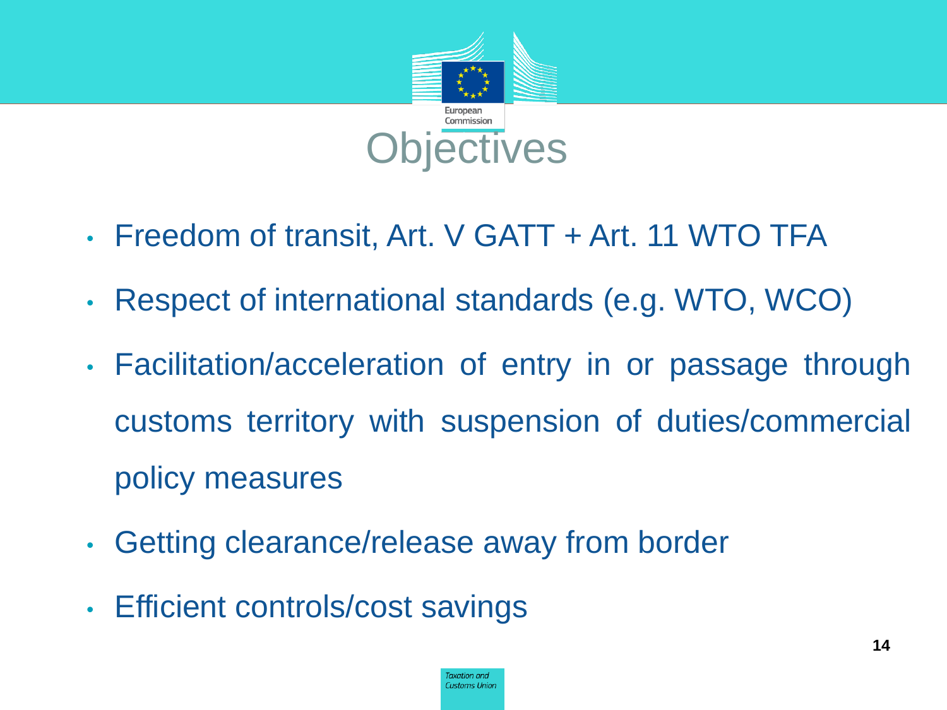

- Freedom of transit, Art. V GATT + Art. 11 WTO TFA
- Respect of international standards (e.g. WTO, WCO)
- Facilitation/acceleration of entry in or passage through customs territory with suspension of duties/commercial policy measures
- Getting clearance/release away from border
- Efficient controls/cost savings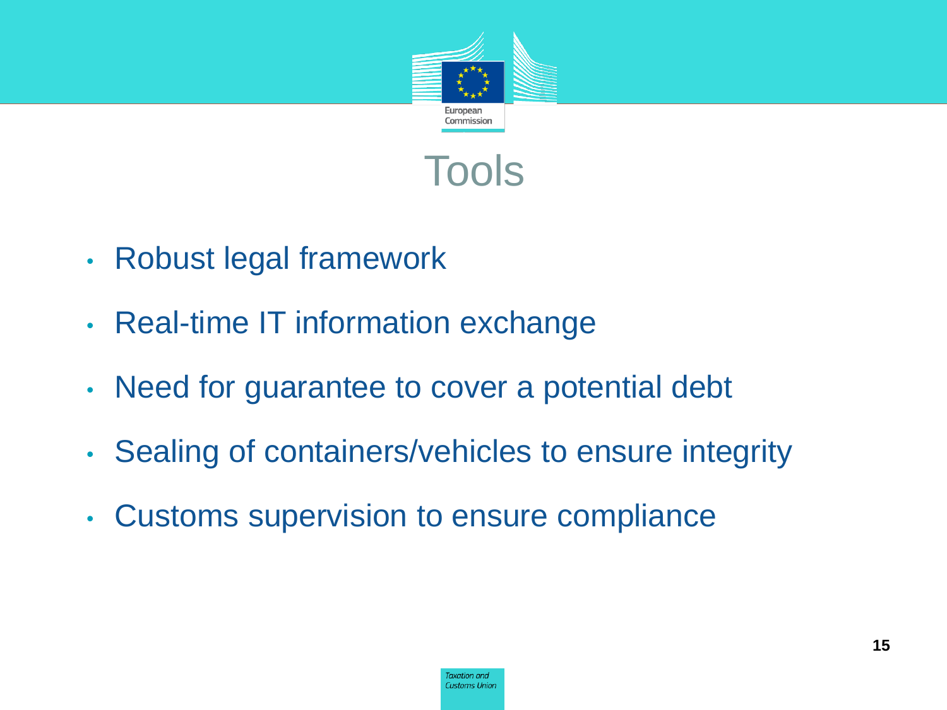



- Robust legal framework
- Real-time IT information exchange
- Need for guarantee to cover a potential debt
- Sealing of containers/vehicles to ensure integrity
- Customs supervision to ensure compliance

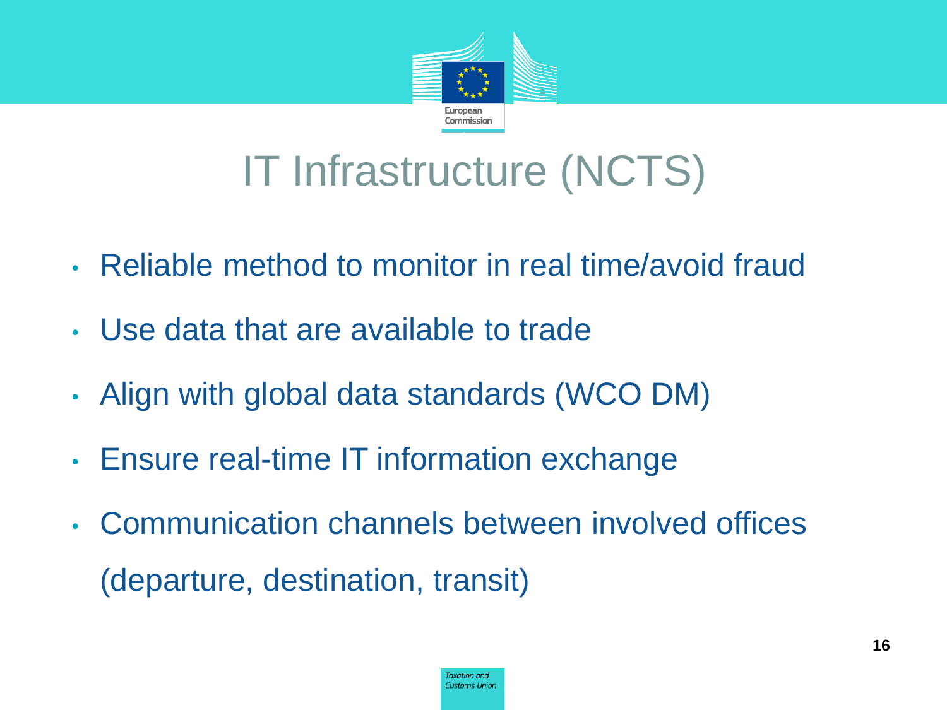

## IT Infrastructure (NCTS)

- Reliable method to monitor in real time/avoid fraud
- Use data that are available to trade
- Align with global data standards (WCO DM)
- Ensure real-time IT information exchange
- Communication channels between involved offices (departure, destination, transit)

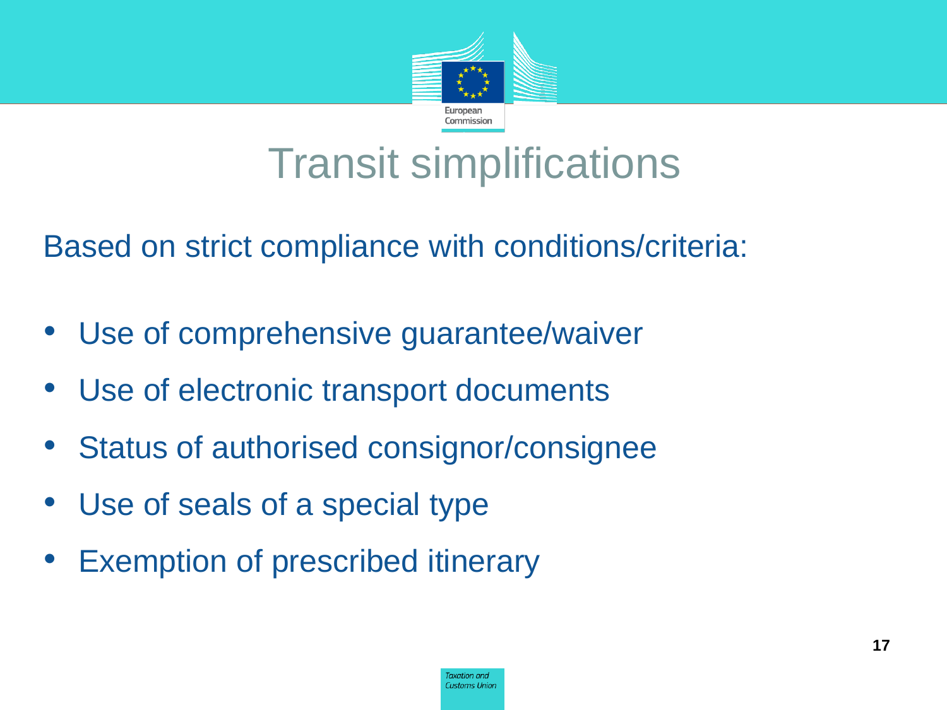

#### Transit simplifications

Based on strict compliance with conditions/criteria:

- Use of comprehensive guarantee/waiver
- Use of electronic transport documents
- Status of authorised consignor/consignee
- Use of seals of a special type
- **Exemption of prescribed itinerary**

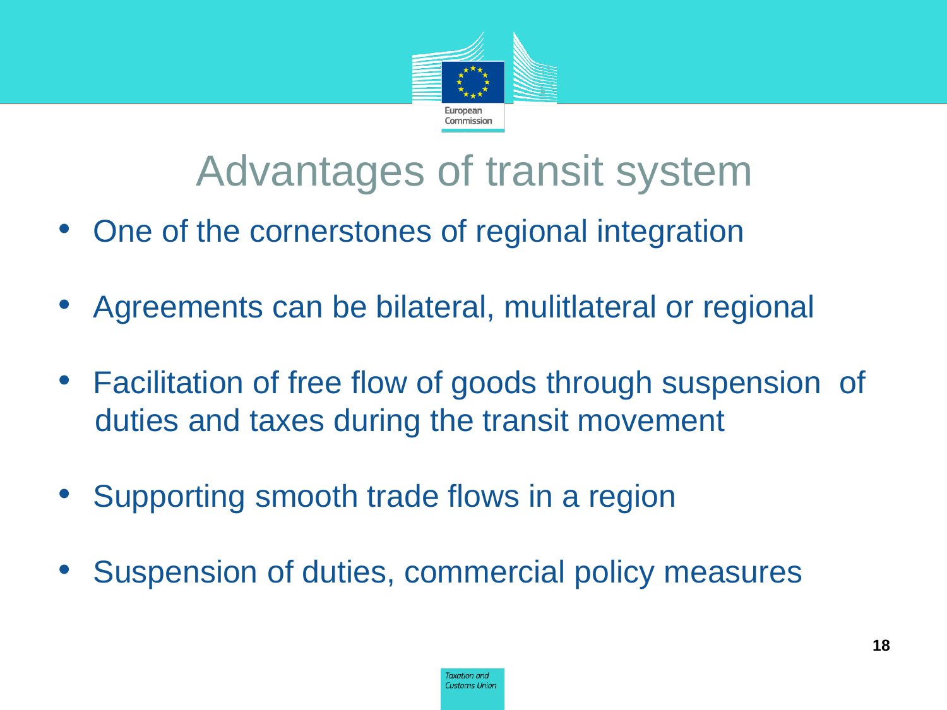

### Advantages of transit system

- One of the cornerstones of regional integration
- Agreements can be bilateral, mulitlateral or regional
- Facilitation of free flow of goods through suspension of duties and taxes during the transit movement
- Supporting smooth trade flows in a region
- Suspension of duties, commercial policy measures

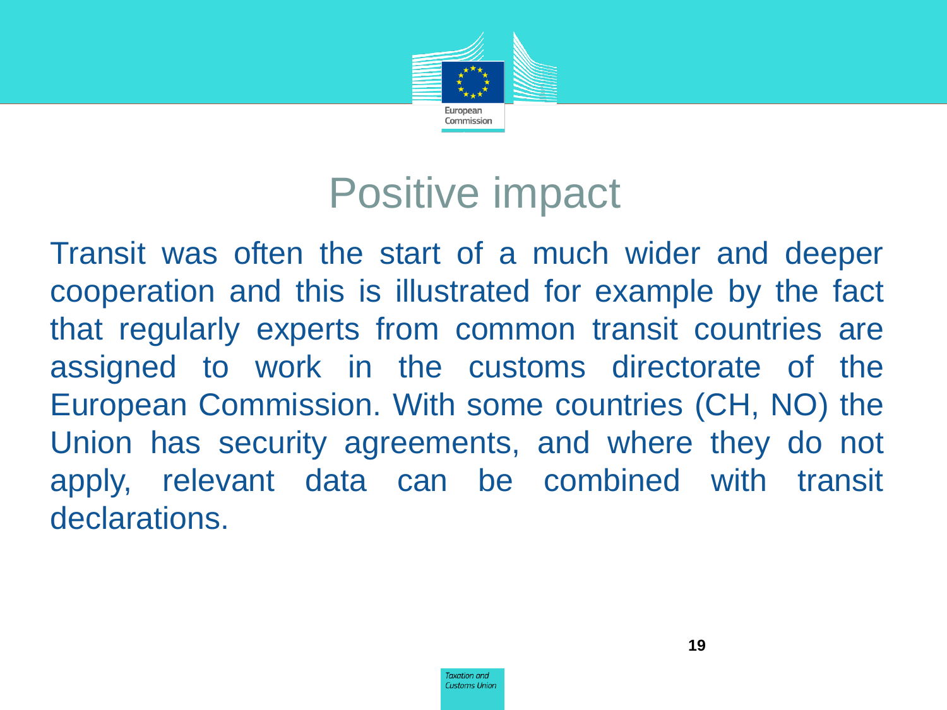

#### Positive impact

Transit was often the start of a much wider and deeper cooperation and this is illustrated for example by the fact that regularly experts from common transit countries are assigned to work in the customs directorate of the European Commission. With some countries (CH, NO) the Union has security agreements, and where they do not apply, relevant data can be combined with transit declarations.